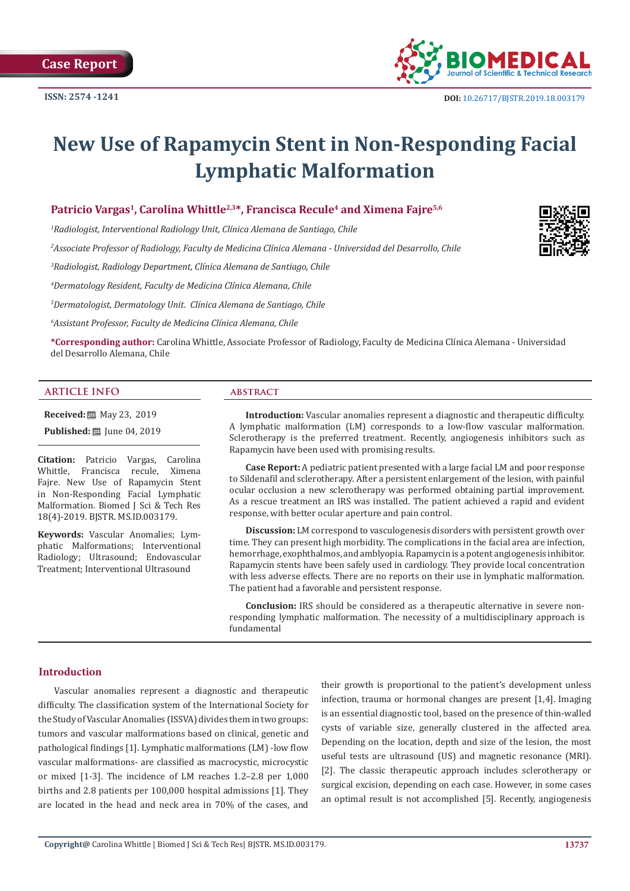**Case Report**



# **New Use of Rapamycin Stent in Non-Responding Facial Lymphatic Malformation**

# Patricio Vargas<sup>1</sup>, Carolina Whittle<sup>2,3\*</sup>, Francisca Recule<sup>4</sup> and Ximena Faire<sup>5,6</sup>

*1 Radiologist, Interventional Radiology Unit, Clínica Alemana de Santiago, Chile*

*2 Associate Professor of Radiology, Faculty de Medicina Clínica Alemana - Universidad del Desarrollo, Chile*

*3 Radiologist, Radiology Department, Clínica Alemana de Santiago, Chile*

*4 Dermatology Resident, Faculty de Medicina Clínica Alemana, Chile*

*5 Dermatologist, Dermatology Unit. Clínica Alemana de Santiago, Chile*

*6 Assistant Professor, Faculty de Medicina Clínica Alemana, Chile* 

**\*Corresponding author:** Carolina Whittle, Associate Professor of Radiology, Faculty de Medicina Clínica Alemana - Universidad del Desarrollo Alemana, Chile

#### **ARTICLE INFO abstract**

**Received:** 圖 May 23, 2019

**Published:** ■ June 04, 2019

**Citation:** Patricio Vargas, Carolina Whittle, Francisca recule, Ximena Fajre. New Use of Rapamycin Stent in Non-Responding Facial Lymphatic Malformation. Biomed J Sci & Tech Res 18(4)-2019. BJSTR. MS.ID.003179.

**Keywords:** Vascular Anomalies; Lymphatic Malformations; Interventional Radiology; Ultrasound; Endovascular Treatment; Interventional Ultrasound

**Introduction:** Vascular anomalies represent a diagnostic and therapeutic difficulty. A lymphatic malformation (LM) corresponds to a low-flow vascular malformation. Sclerotherapy is the preferred treatment. Recently, angiogenesis inhibitors such as Rapamycin have been used with promising results.

**Case Report:** A pediatric patient presented with a large facial LM and poor response to Sildenafil and sclerotherapy. After a persistent enlargement of the lesion, with painful ocular occlusion a new sclerotherapy was performed obtaining partial improvement. As a rescue treatment an IRS was installed. The patient achieved a rapid and evident response, with better ocular aperture and pain control.

**Discussion:** LM correspond to vasculogenesis disorders with persistent growth over time. They can present high morbidity. The complications in the facial area are infection, hemorrhage, exophthalmos, and amblyopia. Rapamycin is a potent angiogenesis inhibitor. Rapamycin stents have been safely used in cardiology. They provide local concentration with less adverse effects. There are no reports on their use in lymphatic malformation. The patient had a favorable and persistent response.

**Conclusion:** IRS should be considered as a therapeutic alternative in severe nonresponding lymphatic malformation. The necessity of a multidisciplinary approach is fundamental

### **Introduction**

Vascular anomalies represent a diagnostic and therapeutic difficulty. The classification system of the International Society for the Study of Vascular Anomalies (ISSVA) divides them in two groups: tumors and vascular malformations based on clinical, genetic and pathological findings [1]. Lymphatic malformations (LM) -low flow vascular malformations- are classified as macrocystic, microcystic or mixed [1-3]. The incidence of LM reaches 1.2–2.8 per 1,000 births and 2.8 patients per 100,000 hospital admissions [1]. They are located in the head and neck area in 70% of the cases, and

their growth is proportional to the patient's development unless infection, trauma or hormonal changes are present [1,4]. Imaging is an essential diagnostic tool, based on the presence of thin-walled cysts of variable size, generally clustered in the affected area. Depending on the location, depth and size of the lesion, the most useful tests are ultrasound (US) and magnetic resonance (MRI). [2]. The classic therapeutic approach includes sclerotherapy or surgical excision, depending on each case. However, in some cases an optimal result is not accomplished [5]. Recently, angiogenesis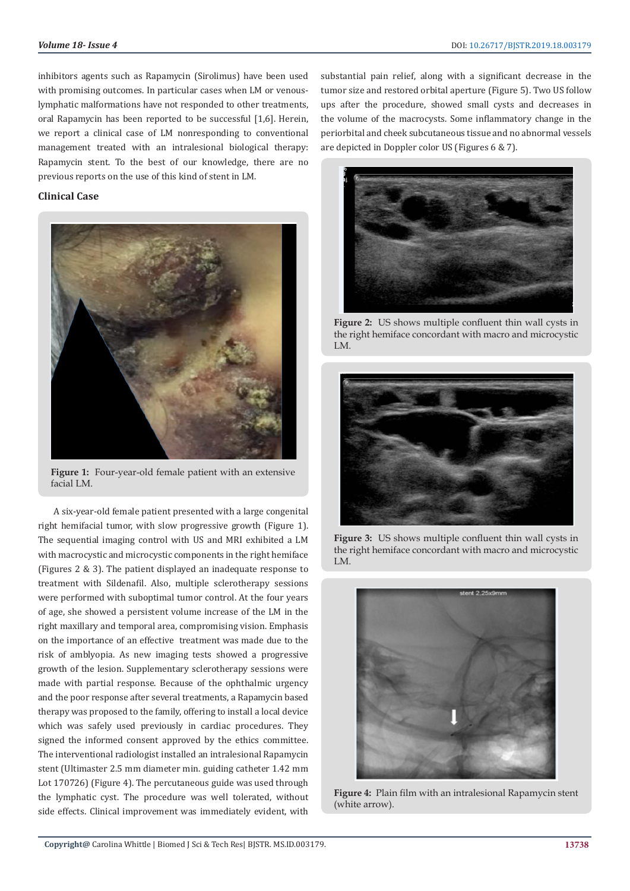inhibitors agents such as Rapamycin (Sirolimus) have been used with promising outcomes. In particular cases when LM or venouslymphatic malformations have not responded to other treatments, oral Rapamycin has been reported to be successful [1,6]. Herein, we report a clinical case of LM nonresponding to conventional management treated with an intralesional biological therapy: Rapamycin stent. To the best of our knowledge, there are no previous reports on the use of this kind of stent in LM.

# **Clinical Case**



**Figure 1:** Four-year-old female patient with an extensive facial LM.

A six-year-old female patient presented with a large congenital right hemifacial tumor, with slow progressive growth (Figure 1). The sequential imaging control with US and MRI exhibited a LM with macrocystic and microcystic components in the right hemiface (Figures 2 & 3). The patient displayed an inadequate response to treatment with Sildenafil. Also, multiple sclerotherapy sessions were performed with suboptimal tumor control. At the four years of age, she showed a persistent volume increase of the LM in the right maxillary and temporal area, compromising vision. Emphasis on the importance of an effective treatment was made due to the risk of amblyopia. As new imaging tests showed a progressive growth of the lesion. Supplementary sclerotherapy sessions were made with partial response. Because of the ophthalmic urgency and the poor response after several treatments, a Rapamycin based therapy was proposed to the family, offering to install a local device which was safely used previously in cardiac procedures. They signed the informed consent approved by the ethics committee. The interventional radiologist installed an intralesional Rapamycin stent (Ultimaster 2.5 mm diameter min. guiding catheter 1.42 mm Lot 170726) (Figure 4). The percutaneous guide was used through the lymphatic cyst. The procedure was well tolerated, without side effects. Clinical improvement was immediately evident, with

substantial pain relief, along with a significant decrease in the tumor size and restored orbital aperture (Figure 5). Two US follow ups after the procedure, showed small cysts and decreases in the volume of the macrocysts. Some inflammatory change in the periorbital and cheek subcutaneous tissue and no abnormal vessels are depicted in Doppler color US (Figures 6 & 7).



**Figure 2:** US shows multiple confluent thin wall cysts in the right hemiface concordant with macro and microcystic LM.



**Figure 3:** US shows multiple confluent thin wall cysts in the right hemiface concordant with macro and microcystic LM.



**Figure 4:** Plain film with an intralesional Rapamycin stent (white arrow).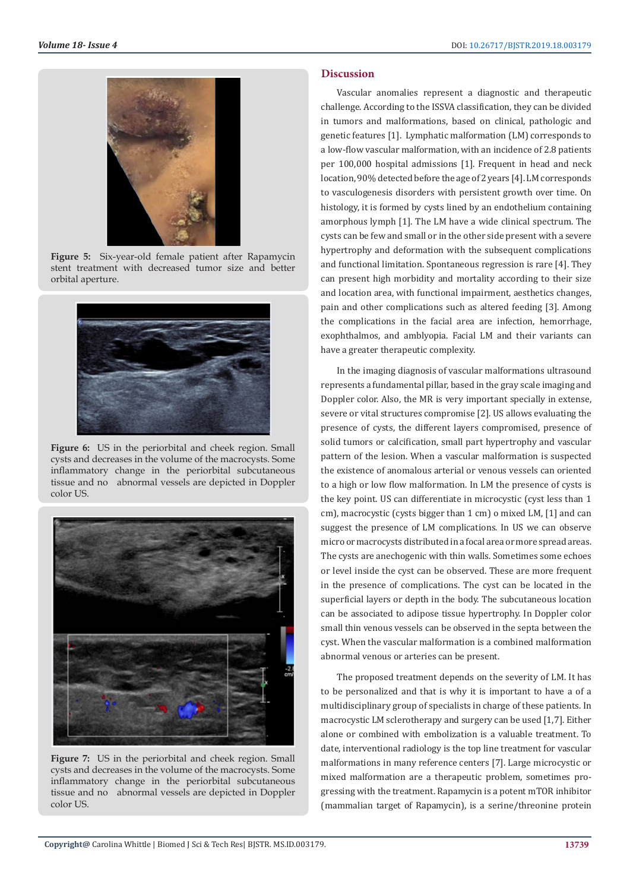

**Figure 5:** Six-year-old female patient after Rapamycin stent treatment with decreased tumor size and better orbital aperture.



**Figure 6:** US in the periorbital and cheek region. Small cysts and decreases in the volume of the macrocysts. Some inflammatory change in the periorbital subcutaneous tissue and no abnormal vessels are depicted in Doppler color US.



**Figure 7:** US in the periorbital and cheek region. Small cysts and decreases in the volume of the macrocysts. Some inflammatory change in the periorbital subcutaneous tissue and no abnormal vessels are depicted in Doppler color US.

#### **Discussion**

Vascular anomalies represent a diagnostic and therapeutic challenge. According to the ISSVA classification, they can be divided in tumors and malformations, based on clinical, pathologic and genetic features [1]. Lymphatic malformation (LM) corresponds to a low-flow vascular malformation, with an incidence of 2.8 patients per 100,000 hospital admissions [1]. Frequent in head and neck location, 90% detected before the age of 2 years [4]. LM corresponds to vasculogenesis disorders with persistent growth over time. On histology, it is formed by cysts lined by an endothelium containing amorphous lymph [1]. The LM have a wide clinical spectrum. The cysts can be few and small or in the other side present with a severe hypertrophy and deformation with the subsequent complications and functional limitation. Spontaneous regression is rare [4]. They can present high morbidity and mortality according to their size and location area, with functional impairment, aesthetics changes, pain and other complications such as altered feeding [3]. Among the complications in the facial area are infection, hemorrhage, exophthalmos, and amblyopia. Facial LM and their variants can have a greater therapeutic complexity.

In the imaging diagnosis of vascular malformations ultrasound represents a fundamental pillar, based in the gray scale imaging and Doppler color. Also, the MR is very important specially in extense, severe or vital structures compromise [2]. US allows evaluating the presence of cysts, the different layers compromised, presence of solid tumors or calcification, small part hypertrophy and vascular pattern of the lesion. When a vascular malformation is suspected the existence of anomalous arterial or venous vessels can oriented to a high or low flow malformation. In LM the presence of cysts is the key point. US can differentiate in microcystic (cyst less than 1 cm), macrocystic (cysts bigger than 1 cm) o mixed LM, [1] and can suggest the presence of LM complications. In US we can observe micro or macrocysts distributed in a focal area or more spread areas. The cysts are anechogenic with thin walls. Sometimes some echoes or level inside the cyst can be observed. These are more frequent in the presence of complications. The cyst can be located in the superficial layers or depth in the body. The subcutaneous location can be associated to adipose tissue hypertrophy. In Doppler color small thin venous vessels can be observed in the septa between the cyst. When the vascular malformation is a combined malformation abnormal venous or arteries can be present.

The proposed treatment depends on the severity of LM. It has to be personalized and that is why it is important to have a of a multidisciplinary group of specialists in charge of these patients. In macrocystic LM sclerotherapy and surgery can be used [1,7]. Either alone or combined with embolization is a valuable treatment. To date, interventional radiology is the top line treatment for vascular malformations in many reference centers [7]. Large microcystic or mixed malformation are a therapeutic problem, sometimes progressing with the treatment. Rapamycin is a potent mTOR inhibitor (mammalian target of Rapamycin), is a serine/threonine protein